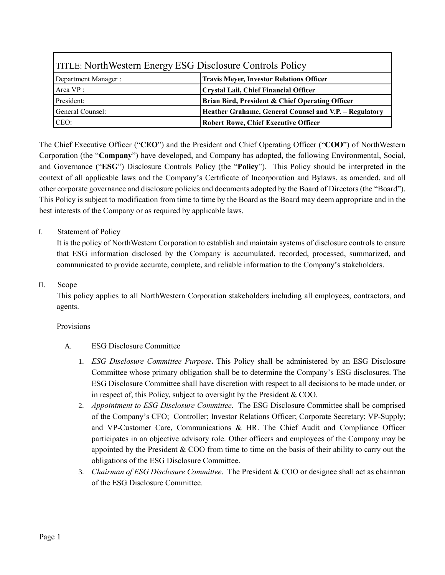| <b>TITLE: NorthWestern Energy ESG Disclosure Controls Policy</b> |                                                        |
|------------------------------------------------------------------|--------------------------------------------------------|
| Department Manager:                                              | <b>Travis Meyer, Investor Relations Officer</b>        |
| Area VP:                                                         | Crystal Lail, Chief Financial Officer                  |
| President:                                                       | Brian Bird, President & Chief Operating Officer        |
| General Counsel:                                                 | Heather Grahame, General Counsel and V.P. - Regulatory |
| CEO:                                                             | <b>Robert Rowe, Chief Executive Officer</b>            |

The Chief Executive Officer ("**CEO**") and the President and Chief Operating Officer ("**COO**") of NorthWestern Corporation (the "**Company**") have developed, and Company has adopted, the following Environmental, Social, and Governance ("**ESG**") Disclosure Controls Policy (the "**Policy**"). This Policy should be interpreted in the context of all applicable laws and the Company's Certificate of Incorporation and Bylaws, as amended, and all other corporate governance and disclosure policies and documents adopted by the Board of Directors (the "Board"). This Policy is subject to modification from time to time by the Board as the Board may deem appropriate and in the best interests of the Company or as required by applicable laws.

# I. Statement of Policy

It is the policy of NorthWestern Corporation to establish and maintain systems of disclosure controls to ensure that ESG information disclosed by the Company is accumulated, recorded, processed, summarized, and communicated to provide accurate, complete, and reliable information to the Company's stakeholders.

#### II. Scope

This policy applies to all NorthWestern Corporation stakeholders including all employees, contractors, and agents.

#### Provisions

- A. ESG Disclosure Committee
	- 1. *ESG Disclosure Committee Purpose***.** This Policy shall be administered by an ESG Disclosure Committee whose primary obligation shall be to determine the Company's ESG disclosures. The ESG Disclosure Committee shall have discretion with respect to all decisions to be made under, or in respect of, this Policy, subject to oversight by the President & COO.
	- 2. *Appointment to ESG Disclosure Committee*. The ESG Disclosure Committee shall be comprised of the Company's CFO; Controller; Investor Relations Officer; Corporate Secretary; VP-Supply; and VP-Customer Care, Communications & HR. The Chief Audit and Compliance Officer participates in an objective advisory role. Other officers and employees of the Company may be appointed by the President  $& COO$  from time to time on the basis of their ability to carry out the obligations of the ESG Disclosure Committee.
	- 3. *Chairman of ESG Disclosure Committee*. The President & COO or designee shall act as chairman of the ESG Disclosure Committee.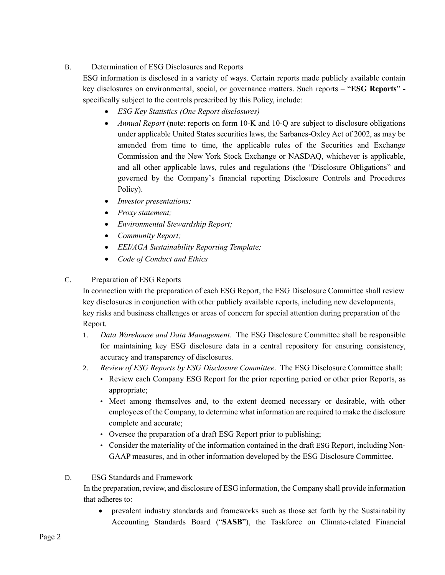# B. Determination of ESG Disclosures and Reports

ESG information is disclosed in a variety of ways. Certain reports made publicly available contain key disclosures on environmental, social, or governance matters. Such reports – "**ESG Reports**" specifically subject to the controls prescribed by this Policy, include:

- *ESG Key Statistics (One Report disclosures)*
- *Annual Report* (note: reports on form 10-K and 10-Q are subject to disclosure obligations under applicable United States securities laws, the Sarbanes-Oxley Act of 2002, as may be amended from time to time, the applicable rules of the Securities and Exchange Commission and the New York Stock Exchange or NASDAQ, whichever is applicable, and all other applicable laws, rules and regulations (the "Disclosure Obligations" and governed by the Company's financial reporting Disclosure Controls and Procedures Policy).
- *Investor presentations;*
- *Proxy statement;*
- *Environmental Stewardship Report;*
- *Community Report;*
- *EEI/AGA Sustainability Reporting Template;*
- *Code of Conduct and Ethics*

# C. Preparation of ESG Reports

In connection with the preparation of each ESG Report, the ESG Disclosure Committee shall review key disclosures in conjunction with other publicly available reports, including new developments, key risks and business challenges or areas of concern for special attention during preparation of the Report.

- 1. *Data Warehouse and Data Management*. The ESG Disclosure Committee shall be responsible for maintaining key ESG disclosure data in a central repository for ensuring consistency, accuracy and transparency of disclosures.
- 2. *Review of ESG Reports by ESG Disclosure Committee*. The ESG Disclosure Committee shall:
	- Review each Company ESG Report for the prior reporting period or other prior Reports, as appropriate;
	- Meet among themselves and, to the extent deemed necessary or desirable, with other employees of the Company, to determine what information are required to make the disclosure complete and accurate;
	- Oversee the preparation of a draft ESG Report prior to publishing;
	- Consider the materiality of the information contained in the draft ESG Report, including Non-GAAP measures, and in other information developed by the ESG Disclosure Committee.

### D. ESG Standards and Framework

In the preparation, review, and disclosure of ESG information, the Company shall provide information that adheres to:

 prevalent industry standards and frameworks such as those set forth by the Sustainability Accounting Standards Board ("**SASB**"), the Taskforce on Climate-related Financial